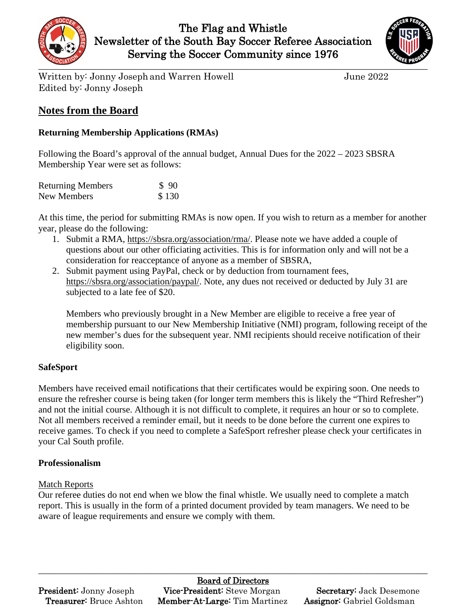



Written by: Jonny Joseph and Warren Howell June 2022 Edited by: Jonny Joseph

## **Notes from the Board**

## **Returning Membership Applications (RMAs)**

Following the Board's approval of the annual budget, Annual Dues for the 2022 – 2023 SBSRA Membership Year were set as follows:

| <b>Returning Members</b> | \$90  |
|--------------------------|-------|
| New Members              | \$130 |

At this time, the period for submitting RMAs is now open. If you wish to return as a member for another year, please do the following:

- 1. Submit a RMA, [https://sbsra.org/association/rma/.](https://sbsra.org/association/rma/) Please note we have added a couple of questions about our other officiating activities. This is for information only and will not be a consideration for reacceptance of anyone as a member of SBSRA,
- 2. Submit payment using PayPal, check or by deduction from tournament fees, [https://sbsra.org/association/paypal/.](https://sbsra.org/association/paypal/) Note, any dues not received or deducted by July 31 are subjected to a late fee of \$20.

Members who previously brought in a New Member are eligible to receive a free year of membership pursuant to our New Membership Initiative (NMI) program, following receipt of the new member's dues for the subsequent year. NMI recipients should receive notification of their eligibility soon.

## **SafeSport**

Members have received email notifications that their certificates would be expiring soon. One needs to ensure the refresher course is being taken (for longer term members this is likely the "Third Refresher") and not the initial course. Although it is not difficult to complete, it requires an hour or so to complete. Not all members received a reminder email, but it needs to be done before the current one expires to receive games. To check if you need to complete a SafeSport refresher please check your certificates in your Cal South profile.

## **Professionalism**

## Match Reports

Our referee duties do not end when we blow the final whistle. We usually need to complete a match report. This is usually in the form of a printed document provided by team managers. We need to be aware of league requirements and ensure we comply with them.

# Board of Directors

 $\_$  , and the set of the set of the set of the set of the set of the set of the set of the set of the set of the set of the set of the set of the set of the set of the set of the set of the set of the set of the set of th

**President:** Jonny Joseph Vice-President: Steve Morgan Secretary: Jack Desemone Treasurer: Bruce Ashton Member-At-Large: Tim Martinez Assignor: Gabriel Goldsman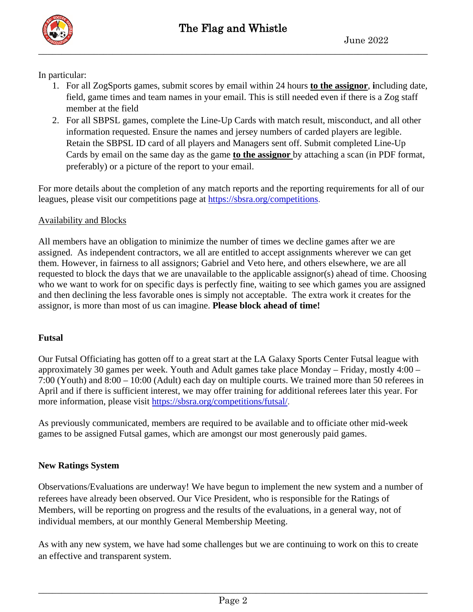In particular:

- 1. For all ZogSports games, submit scores by email within 24 hours **to the assignor**, **i**ncluding date, field, game times and team names in your email. This is still needed even if there is a Zog staff member at the field
- 2. For all SBPSL games, complete the Line-Up Cards with match result, misconduct, and all other information requested. Ensure the names and jersey numbers of carded players are legible. Retain the SBPSL ID card of all players and Managers sent off. Submit completed Line-Up Cards by email on the same day as the game **to the assignor** by attaching a scan (in PDF format, preferably) or a picture of the report to your email.

For more details about the completion of any match reports and the reporting requirements for all of our leagues, please visit our competitions page at https://sbsra.org/competitions.

#### Availability and Blocks

All members have an obligation to minimize the number of times we decline games after we are assigned. As independent contractors, we all are entitled to accept assignments wherever we can get them. However, in fairness to all assignors; Gabriel and Veto here, and others elsewhere, we are all requested to block the days that we are unavailable to the applicable assignor(s) ahead of time. Choosing who we want to work for on specific days is perfectly fine, waiting to see which games you are assigned and then declining the less favorable ones is simply not acceptable. The extra work it creates for the assignor, is more than most of us can imagine. **Please block ahead of time!**

#### **Futsal**

Our Futsal Officiating has gotten off to a great start at the LA Galaxy Sports Center Futsal league with approximately 30 games per week. Youth and Adult games take place Monday – Friday, mostly 4:00 – 7:00 (Youth) and 8:00 – 10:00 (Adult) each day on multiple courts. We trained more than 50 referees in April and if there is sufficient interest, we may offer training for additional referees later this year. For more information, please visit https://sbsra.org/competitions/futsal/.

As previously communicated, members are required to be available and to officiate other mid-week games to be assigned Futsal games, which are amongst our most generously paid games.

#### **New Ratings System**

Observations/Evaluations are underway! We have begun to implement the new system and a number of referees have already been observed. Our Vice President, who is responsible for the Ratings of Members, will be reporting on progress and the results of the evaluations, in a general way, not of individual members, at our monthly General Membership Meeting.

As with any new system, we have had some challenges but we are continuing to work on this to create an effective and transparent system.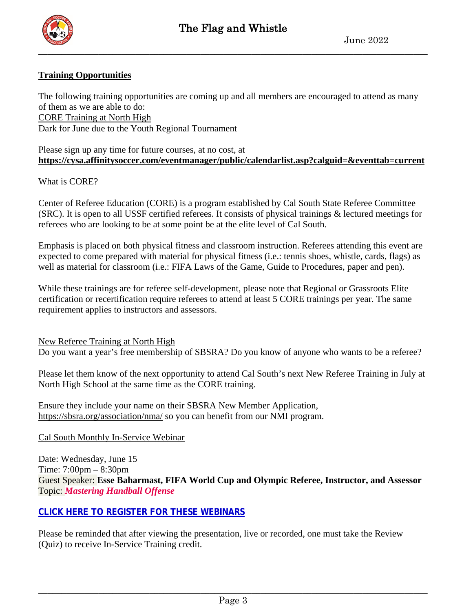

#### **Training Opportunities**

The following training opportunities are coming up and all members are encouraged to attend as many of them as we are able to do: CORE Training at North High Dark for June due to the Youth Regional Tournament

Please sign up any time for future courses, at no cost, at **<https://cysa.affinitysoccer.com/eventmanager/public/calendarlist.asp?calguid=&eventtab=current>**

What is CORE?

Center of Referee Education (CORE) is a program established by Cal South State Referee Committee (SRC). It is open to all USSF certified referees. It consists of physical trainings & lectured meetings for referees who are looking to be at some point be at the elite level of Cal South.

Emphasis is placed on both physical fitness and classroom instruction. Referees attending this event are expected to come prepared with material for physical fitness (i.e.: tennis shoes, whistle, cards, flags) as well as material for classroom (i.e.: FIFA Laws of the Game, Guide to Procedures, paper and pen).

While these trainings are for referee self-development, please note that Regional or Grassroots Elite certification or recertification require referees to attend at least 5 CORE trainings per year. The same requirement applies to instructors and assessors.

New Referee Training at North High

Do you want a year's free membership of SBSRA? Do you know of anyone who wants to be a referee?

Please let them know of the next opportunity to attend Cal South's next New Referee Training in July at North High School at the same time as the CORE training.

Ensure they include your name on their SBSRA New Member Application, <https://sbsra.org/association/nma/> so you can benefit from our NMI program.

#### Cal South Monthly In-Service Webinar

Date: Wednesday, June 15 Time: 7:00pm – 8:30pm Guest Speaker: **Esse Baharmast, FIFA World Cup and Olympic Referee, Instructor, and Assessor** Topic: *Mastering Handball Offense*

#### **CLICK HERE TO REGISTER FOR THESE [WEBINARS](https://calsouth.com/referee-educational-webinars/)**

Please be reminded that after viewing the presentation, live or recorded, one must take the Review (Quiz) to receive In-Service Training credit.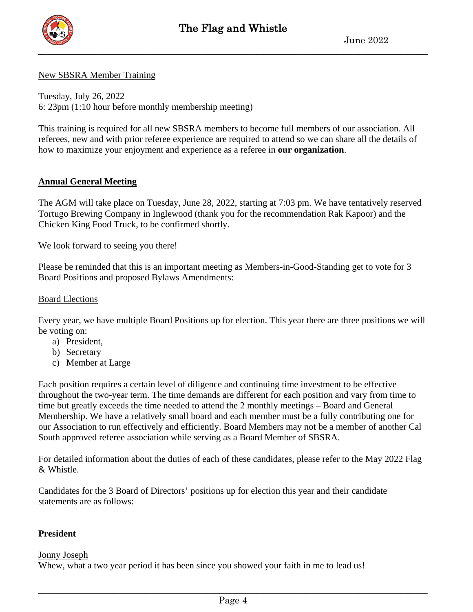

#### New SBSRA Member Training

Tuesday, July 26, 2022 6: 23pm (1:10 hour before monthly membership meeting)

This training is required for all new SBSRA members to become full members of our association. All referees, new and with prior referee experience are required to attend so we can share all the details of how to maximize your enjoyment and experience as a referee in **our organization**.

#### **Annual General Meeting**

The AGM will take place on Tuesday, June 28, 2022, starting at 7:03 pm. We have tentatively reserved Tortugo Brewing Company in Inglewood (thank you for the recommendation Rak Kapoor) and the Chicken King Food Truck, to be confirmed shortly.

We look forward to seeing you there!

Please be reminded that this is an important meeting as Members-in-Good-Standing get to vote for 3 Board Positions and proposed Bylaws Amendments:

#### Board Elections

Every year, we have multiple Board Positions up for election. This year there are three positions we will be voting on:

- a) President,
- b) Secretary
- c) Member at Large

Each position requires a certain level of diligence and continuing time investment to be effective throughout the two-year term. The time demands are different for each position and vary from time to time but greatly exceeds the time needed to attend the 2 monthly meetings – Board and General Membership. We have a relatively small board and each member must be a fully contributing one for our Association to run effectively and efficiently. Board Members may not be a member of another Cal South approved referee association while serving as a Board Member of SBSRA.

For detailed information about the duties of each of these candidates, please refer to the May 2022 Flag & Whistle.

Candidates for the 3 Board of Directors' positions up for election this year and their candidate statements are as follows:

#### **President**

#### Jonny Joseph

Whew, what a two year period it has been since you showed your faith in me to lead us!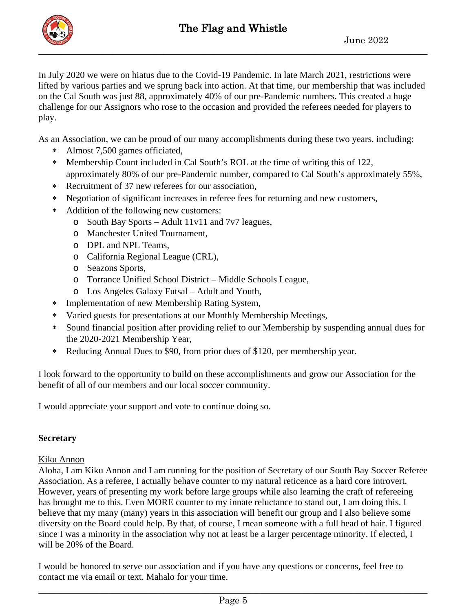

In July 2020 we were on hiatus due to the Covid-19 Pandemic. In late March 2021, restrictions were lifted by various parties and we sprung back into action. At that time, our membership that was included on the Cal South was just 88, approximately 40% of our pre-Pandemic numbers. This created a huge challenge for our Assignors who rose to the occasion and provided the referees needed for players to play.

As an Association, we can be proud of our many accomplishments during these two years, including:

- ∗ Almost 7,500 games officiated,
- ∗ Membership Count included in Cal South's ROL at the time of writing this of 122, approximately 80% of our pre-Pandemic number, compared to Cal South's approximately 55%,
- ∗ Recruitment of 37 new referees for our association,
- ∗ Negotiation of significant increases in referee fees for returning and new customers,
- ∗ Addition of the following new customers:
	- o South Bay Sports Adult 11v11 and 7v7 leagues,
	- o Manchester United Tournament,
	- o DPL and NPL Teams,
	- o California Regional League (CRL),
	- o Seazons Sports,
	- o Torrance Unified School District Middle Schools League,
	- o Los Angeles Galaxy Futsal Adult and Youth,
- ∗ Implementation of new Membership Rating System,
- ∗ Varied guests for presentations at our Monthly Membership Meetings,
- ∗ Sound financial position after providing relief to our Membership by suspending annual dues for the 2020-2021 Membership Year,
- ∗ Reducing Annual Dues to \$90, from prior dues of \$120, per membership year.

I look forward to the opportunity to build on these accomplishments and grow our Association for the benefit of all of our members and our local soccer community.

I would appreciate your support and vote to continue doing so.

#### **Secretary**

#### Kiku Annon

Aloha, I am Kiku Annon and I am running for the position of Secretary of our South Bay Soccer Referee Association. As a referee, I actually behave counter to my natural reticence as a hard core introvert. However, years of presenting my work before large groups while also learning the craft of refereeing has brought me to this. Even MORE counter to my innate reluctance to stand out, I am doing this. I believe that my many (many) years in this association will benefit our group and I also believe some diversity on the Board could help. By that, of course, I mean someone with a full head of hair. I figured since I was a minority in the association why not at least be a larger percentage minority. If elected, I will be 20% of the Board.

I would be honored to serve our association and if you have any questions or concerns, feel free to contact me via email or text. Mahalo for your time.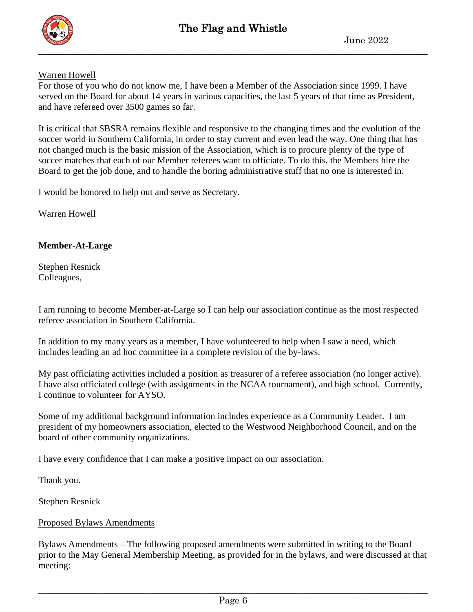

## Warren Howell

For those of you who do not know me, I have been a Member of the Association since 1999. I have served on the Board for about 14 years in various capacities, the last 5 years of that time as President, and have refereed over 3500 games so far.

It is critical that SBSRA remains flexible and responsive to the changing times and the evolution of the soccer world in Southern California, in order to stay current and even lead the way. One thing that has not changed much is the basic mission of the Association, which is to procure plenty of the type of soccer matches that each of our Member referees want to officiate. To do this, the Members hire the Board to get the job done, and to handle the boring administrative stuff that no one is interested in.

I would be honored to help out and serve as Secretary.

Warren Howell

#### **Member-At-Large**

Stephen Resnick Colleagues,

I am running to become Member-at-Large so I can help our association continue as the most respected referee association in Southern California.

In addition to my many years as a member, I have volunteered to help when I saw a need, which includes leading an ad hoc committee in a complete revision of the by-laws.

My past officiating activities included a position as treasurer of a referee association (no longer active). I have also officiated college (with assignments in the NCAA tournament), and high school. Currently, I continue to volunteer for AYSO.

Some of my additional background information includes experience as a Community Leader. I am president of my homeowners association, elected to the Westwood Neighborhood Council, and on the board of other community organizations.

I have every confidence that I can make a positive impact on our association.

Thank you.

Stephen Resnick

#### Proposed Bylaws Amendments

Bylaws Amendments – The following proposed amendments were submitted in writing to the Board prior to the May General Membership Meeting, as provided for in the bylaws, and were discussed at that meeting: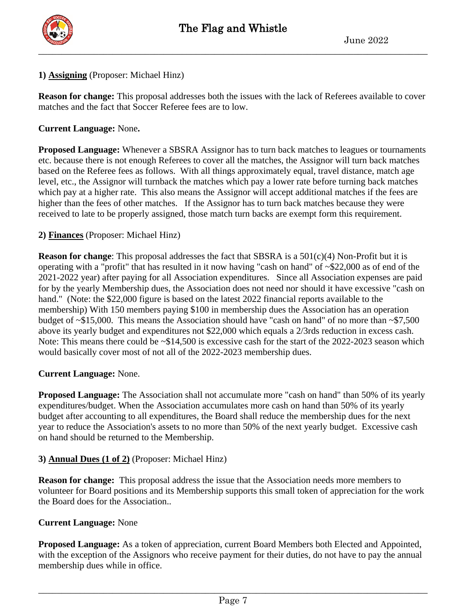

#### **1) Assigning** (Proposer: Michael Hinz)

**Reason for change:** This proposal addresses both the issues with the lack of Referees available to cover matches and the fact that Soccer Referee fees are to low.

#### **Current Language:** None**.**

**Proposed Language:** Whenever a SBSRA Assignor has to turn back matches to leagues or tournaments etc. because there is not enough Referees to cover all the matches, the Assignor will turn back matches based on the Referee fees as follows. With all things approximately equal, travel distance, match age level, etc., the Assignor will turnback the matches which pay a lower rate before turning back matches which pay at a higher rate. This also means the Assignor will accept additional matches if the fees are higher than the fees of other matches. If the Assignor has to turn back matches because they were received to late to be properly assigned, those match turn backs are exempt form this requirement.

#### **2) Finances** (Proposer: Michael Hinz)

**Reason for change**: This proposal addresses the fact that SBSRA is a 501(c)(4) Non-Profit but it is operating with a "profit" that has resulted in it now having "cash on hand" of ~\$22,000 as of end of the 2021-2022 year) after paying for all Association expenditures. Since all Association expenses are paid for by the yearly Membership dues, the Association does not need nor should it have excessive "cash on hand." (Note: the \$22,000 figure is based on the latest 2022 financial reports available to the membership) With 150 members paying \$100 in membership dues the Association has an operation budget of ~\$15,000. This means the Association should have "cash on hand" of no more than ~\$7,500 above its yearly budget and expenditures not \$22,000 which equals a 2/3rds reduction in excess cash. Note: This means there could be  $\sim $14,500$  is excessive cash for the start of the 2022-2023 season which would basically cover most of not all of the 2022-2023 membership dues.

#### **Current Language:** None.

**Proposed Language:** The Association shall not accumulate more "cash on hand" than 50% of its yearly expenditures/budget. When the Association accumulates more cash on hand than 50% of its yearly budget after accounting to all expenditures, the Board shall reduce the membership dues for the next year to reduce the Association's assets to no more than 50% of the next yearly budget. Excessive cash on hand should be returned to the Membership.

## **3) Annual Dues (1 of 2)** (Proposer: Michael Hinz)

**Reason for change:** This proposal address the issue that the Association needs more members to volunteer for Board positions and its Membership supports this small token of appreciation for the work the Board does for the Association..

#### **Current Language:** None

**Proposed Language:** As a token of appreciation, current Board Members both Elected and Appointed, with the exception of the Assignors who receive payment for their duties, do not have to pay the annual membership dues while in office.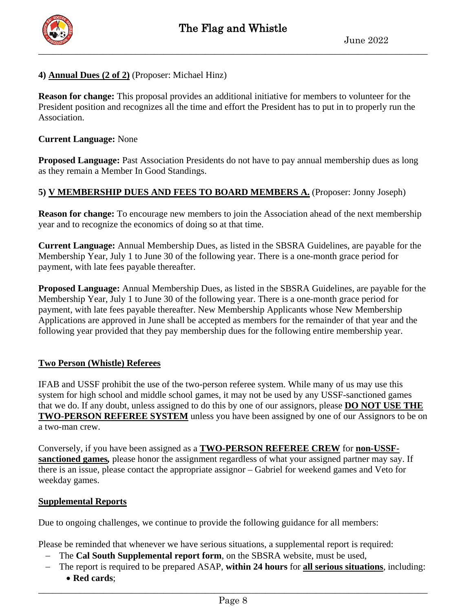

#### **4) Annual Dues (2 of 2)** (Proposer: Michael Hinz)

**Reason for change:** This proposal provides an additional initiative for members to volunteer for the President position and recognizes all the time and effort the President has to put in to properly run the Association.

#### **Current Language:** None

**Proposed Language:** Past Association Presidents do not have to pay annual membership dues as long as they remain a Member In Good Standings.

#### **5) V MEMBERSHIP DUES AND FEES TO BOARD MEMBERS A.** (Proposer: Jonny Joseph)

**Reason for change:** To encourage new members to join the Association ahead of the next membership year and to recognize the economics of doing so at that time.

**Current Language:** Annual Membership Dues, as listed in the SBSRA Guidelines, are payable for the Membership Year, July 1 to June 30 of the following year. There is a one-month grace period for payment, with late fees payable thereafter.

**Proposed Language:** Annual Membership Dues, as listed in the SBSRA Guidelines, are payable for the Membership Year, July 1 to June 30 of the following year. There is a one-month grace period for payment, with late fees payable thereafter. New Membership Applicants whose New Membership Applications are approved in June shall be accepted as members for the remainder of that year and the following year provided that they pay membership dues for the following entire membership year.

#### **Two Person (Whistle) Referees**

IFAB and USSF prohibit the use of the two-person referee system. While many of us may use this system for high school and middle school games, it may not be used by any USSF-sanctioned games that we do. If any doubt, unless assigned to do this by one of our assignors, please **DO NOT USE THE TWO-PERSON REFEREE SYSTEM** unless you have been assigned by one of our Assignors to be on a two-man crew.

Conversely, if you have been assigned as a **TWO-PERSON REFEREE CREW** for **non-USSFsanctioned games***,* please honor the assignment regardless of what your assigned partner may say. If there is an issue, please contact the appropriate assignor – Gabriel for weekend games and Veto for weekday games.

#### **Supplemental Reports**

Due to ongoing challenges, we continue to provide the following guidance for all members:

Please be reminded that whenever we have serious situations, a supplemental report is required:

- − The **Cal South Supplemental report form**, on the SBSRA website, must be used,
- − The report is required to be prepared ASAP, **within 24 hours** for **all serious situations**, including:
	- **Red cards**;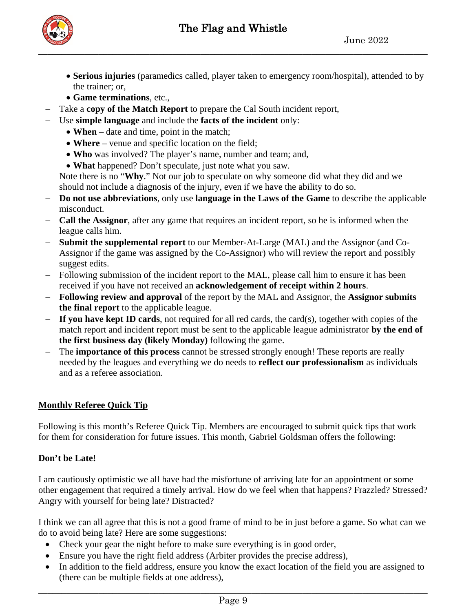

- **Serious injuries** (paramedics called, player taken to emergency room/hospital), attended to by the trainer; or,
- **Game terminations**, etc.,
- − Take a **copy of the Match Report** to prepare the Cal South incident report,
- − Use **simple language** and include the **facts of the incident** only:
	- **When** date and time, point in the match;
	- **Where** venue and specific location on the field;
	- **Who** was involved? The player's name, number and team; and,
	- **What** happened? Don't speculate, just note what you saw.

Note there is no "**Why**." Not our job to speculate on why someone did what they did and we should not include a diagnosis of the injury, even if we have the ability to do so.

- − **Do not use abbreviations**, only use **language in the Laws of the Game** to describe the applicable misconduct.
- − **Call the Assignor**, after any game that requires an incident report, so he is informed when the league calls him.
- − **Submit the supplemental report** to our Member-At-Large (MAL) and the Assignor (and Co-Assignor if the game was assigned by the Co-Assignor) who will review the report and possibly suggest edits.
- − Following submission of the incident report to the MAL, please call him to ensure it has been received if you have not received an **acknowledgement of receipt within 2 hours**.
- − **Following review and approval** of the report by the MAL and Assignor, the **Assignor submits the final report** to the applicable league.
- − **If you have kept ID cards**, not required for all red cards, the card(s), together with copies of the match report and incident report must be sent to the applicable league administrator **by the end of the first business day (likely Monday)** following the game.
- − The **importance of this process** cannot be stressed strongly enough! These reports are really needed by the leagues and everything we do needs to **reflect our professionalism** as individuals and as a referee association.

## **Monthly Referee Quick Tip**

Following is this month's Referee Quick Tip. Members are encouraged to submit quick tips that work for them for consideration for future issues. This month, Gabriel Goldsman offers the following:

## **Don't be Late!**

I am cautiously optimistic we all have had the misfortune of arriving late for an appointment or some other engagement that required a timely arrival. How do we feel when that happens? Frazzled? Stressed? Angry with yourself for being late? Distracted?

I think we can all agree that this is not a good frame of mind to be in just before a game. So what can we do to avoid being late? Here are some suggestions:

- Check your gear the night before to make sure everything is in good order,
- Ensure you have the right field address (Arbiter provides the precise address),
- In addition to the field address, ensure you know the exact location of the field you are assigned to (there can be multiple fields at one address),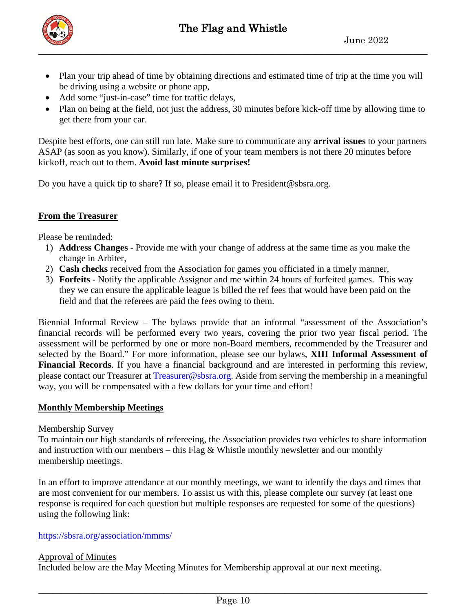

- Plan your trip ahead of time by obtaining directions and estimated time of trip at the time you will be driving using a website or phone app,
- Add some "just-in-case" time for traffic delays,
- Plan on being at the field, not just the address, 30 minutes before kick-off time by allowing time to get there from your car.

Despite best efforts, one can still run late. Make sure to communicate any **arrival issues** to your partners ASAP (as soon as you know). Similarly, if one of your team members is not there 20 minutes before kickoff, reach out to them. **Avoid last minute surprises!**

Do you have a quick tip to share? If so, please email it to President@sbsra.org.

## **From the Treasurer**

Please be reminded:

- 1) **Address Changes** Provide me with your change of address at the same time as you make the change in Arbiter,
- 2) **Cash checks** received from the Association for games you officiated in a timely manner,
- 3) **Forfeits** Notify the applicable Assignor and me within 24 hours of forfeited games. This way they we can ensure the applicable league is billed the ref fees that would have been paid on the field and that the referees are paid the fees owing to them.

Biennial Informal Review – The bylaws provide that an informal "assessment of the Association's financial records will be performed every two years, covering the prior two year fiscal period. The assessment will be performed by one or more non-Board members, recommended by the Treasurer and selected by the Board." For more information, please see our bylaws, **XIII Informal Assessment of Financial Records**. If you have a financial background and are interested in performing this review, please contact our Treasurer at [Treasurer@sbsra.org.](mailto:Treasurer@sbsra.org) Aside from serving the membership in a meaningful way, you will be compensated with a few dollars for your time and effort!

#### **Monthly Membership Meetings**

#### Membership Survey

To maintain our high standards of refereeing, the Association provides two vehicles to share information and instruction with our members – this Flag  $\&$  Whistle monthly newsletter and our monthly membership meetings.

In an effort to improve attendance at our monthly meetings, we want to identify the days and times that are most convenient for our members. To assist us with this, please complete our survey (at least one response is required for each question but multiple responses are requested for some of the questions) using the following link:

#### https://sbsra.org/association/mmms/

#### Approval of Minutes Included below are the May Meeting Minutes for Membership approval at our next meeting.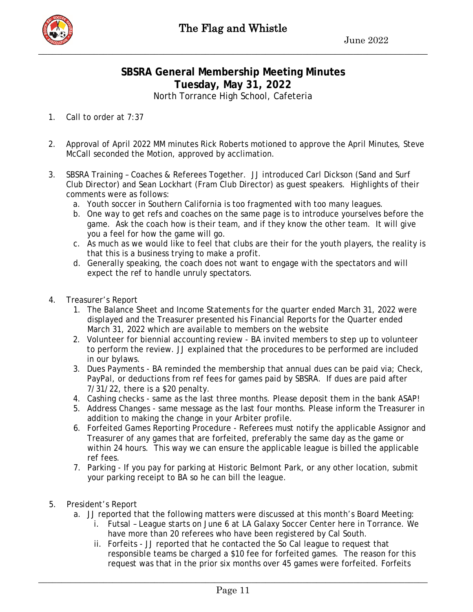## **SBSRA General Membership Meeting Minutes Tuesday, May 31, 2022** North Torrance High School, Cafeteria

1. Call to order at 7:37

- 2. Approval of April 2022 MM minutes Rick Roberts motioned to approve the April Minutes, Steve McCall seconded the Motion, approved by acclimation.
- 3. SBSRA Training Coaches & Referees Together. JJ introduced Carl Dickson (Sand and Surf Club Director) and Sean Lockhart (Fram Club Director) as guest speakers. Highlights of their comments were as follows:
	- a. Youth soccer in Southern California is too fragmented with too many leagues.
	- b. One way to get refs and coaches on the same page is to introduce yourselves before the game. Ask the coach how is their team, and if they know the other team. It will give you a feel for how the game will go.
	- c. As much as we would like to feel that clubs are their for the youth players, the reality is that this is a business trying to make a profit.
	- d. Generally speaking, the coach does not want to engage with the spectators and will expect the ref to handle unruly spectators.
- 4. Treasurer's Report
	- 1. The Balance Sheet and Income Statements for the quarter ended March 31, 2022 were displayed and the Treasurer presented his Financial Reports for the Quarter ended March 31, 2022 which are available to members on the website
	- 2. Volunteer for biennial accounting review BA invited members to step up to volunteer to perform the review. JJ explained that the procedures to be performed are included in our bylaws.
	- 3. Dues Payments BA reminded the membership that annual dues can be paid via; Check, PayPal, or deductions from ref fees for games paid by SBSRA. If dues are paid after 7/31/22, there is a \$20 penalty.
	- 4. Cashing checks same as the last three months. Please deposit them in the bank ASAP!
	- 5. Address Changes same message as the last four months. Please inform the Treasurer in addition to making the change in your Arbiter profile.
	- 6. Forfeited Games Reporting Procedure Referees must notify the applicable Assignor and Treasurer of any games that are forfeited, preferably the same day as the game or within 24 hours. This way we can ensure the applicable league is billed the applicable ref fees.
	- 7. Parking If you pay for parking at Historic Belmont Park, or any other location, submit your parking receipt to BA so he can bill the league.
- 5. President's Report
	- a. JJ reported that the following matters were discussed at this month's Board Meeting:
		- i. Futsal League starts on June 6 at LA Galaxy Soccer Center here in Torrance. We have more than 20 referees who have been registered by Cal South.
		- ii. Forfeits JJ reported that he contacted the So Cal league to request that responsible teams be charged a \$10 fee for forfeited games. The reason for this request was that in the prior six months over 45 games were forfeited. Forfeits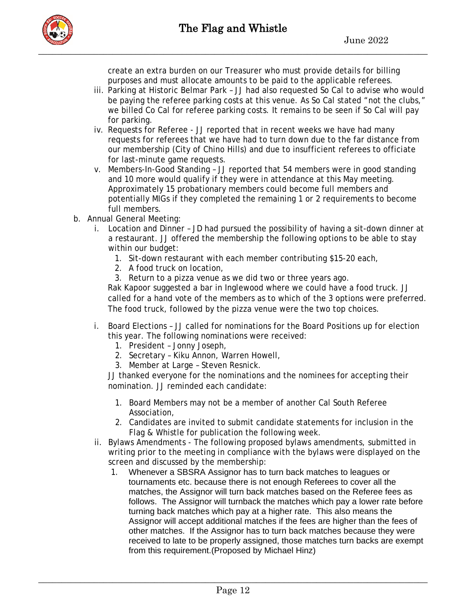

create an extra burden on our Treasurer who must provide details for billing purposes and must allocate amounts to be paid to the applicable referees.

- iii. Parking at Historic Belmar Park JJ had also requested So Cal to advise who would be paying the referee parking costs at this venue. As So Cal stated "not the clubs," we billed Co Cal for referee parking costs. It remains to be seen if So Cal will pay for parking.
- iv. Requests for Referee JJ reported that in recent weeks we have had many requests for referees that we have had to turn down due to the far distance from our membership (City of Chino Hills) and due to insufficient referees to officiate for last-minute game requests.
- v. Members-In-Good Standing JJ reported that 54 members were in good standing and 10 more would qualify if they were in attendance at this May meeting. Approximately 15 probationary members could become full members and potentially MIGs if they completed the remaining 1 or 2 requirements to become full members.
- b. Annual General Meeting:
	- i. Location and Dinner JD had pursued the possibility of having a sit-down dinner at a restaurant. JJ offered the membership the following options to be able to stay within our budget:
		- 1. Sit-down restaurant with each member contributing \$15-20 each,
		- 2. A food truck on location,
		- 3. Return to a pizza venue as we did two or three years ago.

Rak Kapoor suggested a bar in Inglewood where we could have a food truck. JJ called for a hand vote of the members as to which of the 3 options were preferred. The food truck, followed by the pizza venue were the two top choices.

- i. Board Elections JJ called for nominations for the Board Positions up for election this year. The following nominations were received:
	- 1. President Jonny Joseph,
	- 2. Secretary Kiku Annon, Warren Howell,
	- 3. Member at Large Steven Resnick.

JJ thanked everyone for the nominations and the nominees for accepting their nomination. JJ reminded each candidate:

- 1. Board Members may not be a member of another Cal South Referee Association,
- 2. Candidates are invited to submit candidate statements for inclusion in the Flag & Whistle for publication the following week.
- ii. Bylaws Amendments The following proposed bylaws amendments, submitted in writing prior to the meeting in compliance with the bylaws were displayed on the screen and discussed by the membership:
	- 1. Whenever a SBSRA Assignor has to turn back matches to leagues or tournaments etc. because there is not enough Referees to cover all the matches, the Assignor will turn back matches based on the Referee fees as follows. The Assignor will turnback the matches which pay a lower rate before turning back matches which pay at a higher rate. This also means the Assignor will accept additional matches if the fees are higher than the fees of other matches. If the Assignor has to turn back matches because they were received to late to be properly assigned, those matches turn backs are exempt from this requirement.(Proposed by Michael Hinz)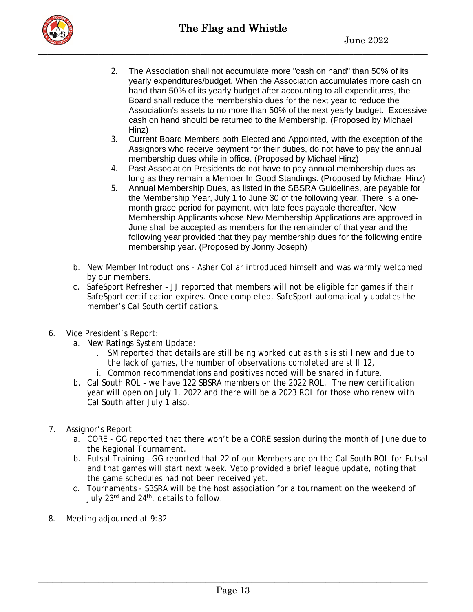

- 2. The Association shall not accumulate more "cash on hand" than 50% of its yearly expenditures/budget. When the Association accumulates more cash on hand than 50% of its yearly budget after accounting to all expenditures, the Board shall reduce the membership dues for the next year to reduce the Association's assets to no more than 50% of the next yearly budget. Excessive cash on hand should be returned to the Membership. (Proposed by Michael Hinz)
- 3. Current Board Members both Elected and Appointed, with the exception of the Assignors who receive payment for their duties, do not have to pay the annual membership dues while in office. (Proposed by Michael Hinz)
- 4. Past Association Presidents do not have to pay annual membership dues as long as they remain a Member In Good Standings. (Proposed by Michael Hinz)
- 5. Annual Membership Dues, as listed in the SBSRA Guidelines, are payable for the Membership Year, July 1 to June 30 of the following year. There is a onemonth grace period for payment, with late fees payable thereafter. New Membership Applicants whose New Membership Applications are approved in June shall be accepted as members for the remainder of that year and the following year provided that they pay membership dues for the following entire membership year. (Proposed by Jonny Joseph)
- b. New Member Introductions Asher Collar introduced himself and was warmly welcomed by our members.
- c. SafeSport Refresher JJ reported that members will not be eligible for games if their SafeSport certification expires. Once completed, SafeSport automatically updates the member's Cal South certifications.
- 6. Vice President's Report:
	- a. New Ratings System Update:
		- i. SM reported that details are still being worked out as this is still new and due to the lack of games, the number of observations completed are still 12,
		- ii. Common recommendations and positives noted will be shared in future.
	- b. Cal South ROL we have 122 SBSRA members on the 2022 ROL. The new certification year will open on July 1, 2022 and there will be a 2023 ROL for those who renew with Cal South after July 1 also.
- 7. Assignor's Report
	- a. CORE GG reported that there won't be a CORE session during the month of June due to the Regional Tournament.
	- b. Futsal Training GG reported that 22 of our Members are on the Cal South ROL for Futsal and that games will start next week. Veto provided a brief league update, noting that the game schedules had not been received yet.
	- c. Tournaments SBSRA will be the host association for a tournament on the weekend of July 23<sup>rd</sup> and 24<sup>th</sup>, details to follow.
- 8. Meeting adjourned at 9:32.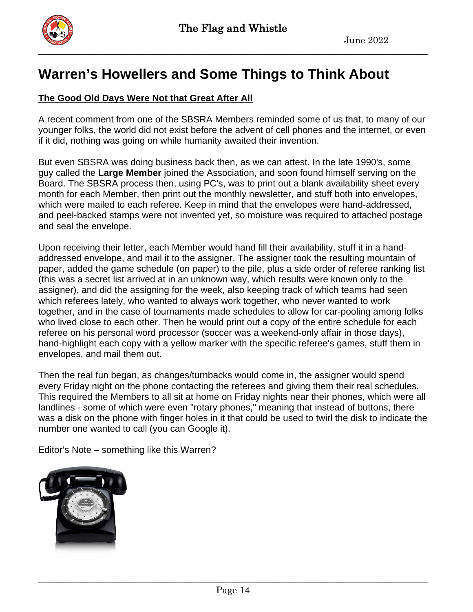

# **Warren's Howellers and Some Things to Think About**

## **The Good Old Days Were Not that Great After All**

A recent comment from one of the SBSRA Members reminded some of us that, to many of our younger folks, the world did not exist before the advent of cell phones and the internet, or even if it did, nothing was going on while humanity awaited their invention.

But even SBSRA was doing business back then, as we can attest. In the late 1990's, some guy called the **Large Member** joined the Association, and soon found himself serving on the Board. The SBSRA process then, using PC's, was to print out a blank availability sheet every month for each Member, then print out the monthly newsletter, and stuff both into envelopes, which were mailed to each referee. Keep in mind that the envelopes were hand-addressed, and peel-backed stamps were not invented yet, so moisture was required to attached postage and seal the envelope.

Upon receiving their letter, each Member would hand fill their availability, stuff it in a handaddressed envelope, and mail it to the assigner. The assigner took the resulting mountain of paper, added the game schedule (on paper) to the pile, plus a side order of referee ranking list (this was a secret list arrived at in an unknown way, which results were known only to the assigner), and did the assigning for the week, also keeping track of which teams had seen which referees lately, who wanted to always work together, who never wanted to work together, and in the case of tournaments made schedules to allow for car-pooling among folks who lived close to each other. Then he would print out a copy of the entire schedule for each referee on his personal word processor (soccer was a weekend-only affair in those days), hand-highlight each copy with a yellow marker with the specific referee's games, stuff them in envelopes, and mail them out.

Then the real fun began, as changes/turnbacks would come in, the assigner would spend every Friday night on the phone contacting the referees and giving them their real schedules. This required the Members to all sit at home on Friday nights near their phones, which were all landlines - some of which were even "rotary phones," meaning that instead of buttons, there was a disk on the phone with finger holes in it that could be used to twirl the disk to indicate the number one wanted to call (you can Google it).

Editor's Note – something like this Warren?

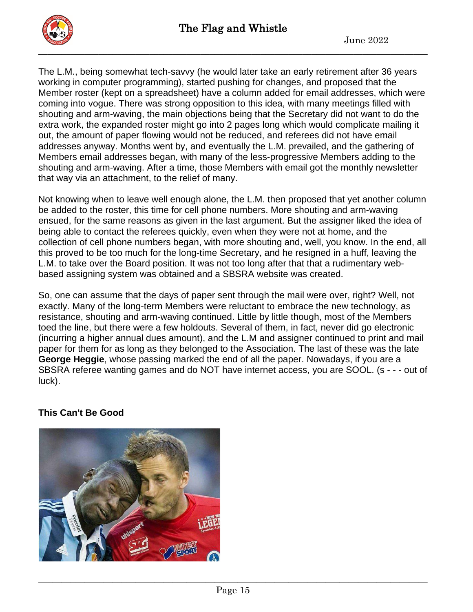

The L.M., being somewhat tech-savvy (he would later take an early retirement after 36 years working in computer programming), started pushing for changes, and proposed that the Member roster (kept on a spreadsheet) have a column added for email addresses, which were coming into vogue. There was strong opposition to this idea, with many meetings filled with shouting and arm-waving, the main objections being that the Secretary did not want to do the extra work, the expanded roster might go into 2 pages long which would complicate mailing it out, the amount of paper flowing would not be reduced, and referees did not have email addresses anyway. Months went by, and eventually the L.M. prevailed, and the gathering of Members email addresses began, with many of the less-progressive Members adding to the shouting and arm-waving. After a time, those Members with email got the monthly newsletter that way via an attachment, to the relief of many.

Not knowing when to leave well enough alone, the L.M. then proposed that yet another column be added to the roster, this time for cell phone numbers. More shouting and arm-waving ensued, for the same reasons as given in the last argument. But the assigner liked the idea of being able to contact the referees quickly, even when they were not at home, and the collection of cell phone numbers began, with more shouting and, well, you know. In the end, all this proved to be too much for the long-time Secretary, and he resigned in a huff, leaving the L.M. to take over the Board position. It was not too long after that that a rudimentary webbased assigning system was obtained and a SBSRA website was created.

So, one can assume that the days of paper sent through the mail were over, right? Well, not exactly. Many of the long-term Members were reluctant to embrace the new technology, as resistance, shouting and arm-waving continued. Little by little though, most of the Members toed the line, but there were a few holdouts. Several of them, in fact, never did go electronic (incurring a higher annual dues amount), and the L.M and assigner continued to print and mail paper for them for as long as they belonged to the Association. The last of these was the late **George Heggie**, whose passing marked the end of all the paper. Nowadays, if you are a SBSRA referee wanting games and do NOT have internet access, you are SOOL. (s - - - out of luck).

## **This Can't Be Good**